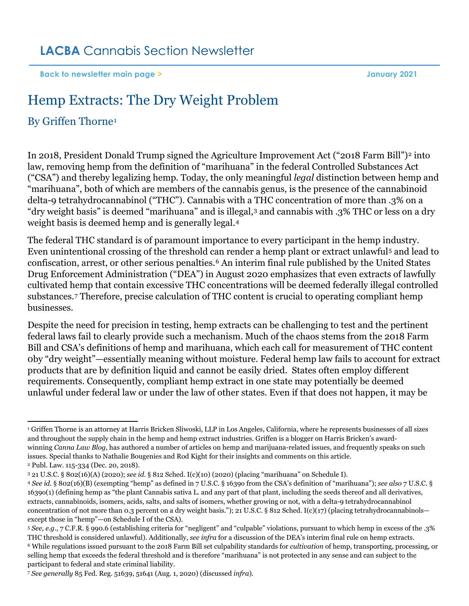**[Back to newsletter main page](https://www.lacba.org/sections/cannabis-section/cannabis-section-home-page/cannabis-section-newsletters/january-2021) > January 2021**

# Hemp Extracts: The Dry Weight Problem

## By Griffen Thorne[1](#page-0-0)

In [2](#page-0-1)018, President Donald Trump signed the Agriculture Improvement Act ("2018 Farm Bill")<sup>2</sup> into law, removing hemp from the definition of "marihuana" in the federal Controlled Substances Act ("CSA") and thereby legalizing hemp. Today, the only meaningful *legal* distinction between hemp and "marihuana", both of which are members of the cannabis genus, is the presence of the cannabinoid delta-9 tetrahydrocannabinol ("THC"). Cannabis with a THC concentration of more than .3% on a "dry weight basis" is deemed "marihuana" and is illegal,[3](#page-0-2) and cannabis with .3% THC or less on a dry weight basis is deemed hemp and is generally legal.[4](#page-0-3)

The federal THC standard is of paramount importance to every participant in the hemp industry. Even unintentional crossing of the threshold can render a hemp plant or extract unlawful[5](#page-0-4) and lead to confiscation, arrest, or other serious penalties.[6](#page-0-5) An interim final rule published by the United States Drug Enforcement Administration ("DEA") in August 2020 emphasizes that even extracts of lawfully cultivated hemp that contain excessive THC concentrations will be deemed federally illegal controlled substances.[7](#page-0-6) Therefore, precise calculation of THC content is crucial to operating compliant hemp businesses.

Despite the need for precision in testing, hemp extracts can be challenging to test and the pertinent federal laws fail to clearly provide such a mechanism. Much of the chaos stems from the 2018 Farm Bill and CSA's definitions of hemp and marihuana, which each call for measurement of THC content 0by "dry weight"—essentially meaning without moisture. Federal hemp law fails to account for extract products that are by definition liquid and cannot be easily dried. States often employ different requirements. Consequently, compliant hemp extract in one state may potentially be deemed unlawful under federal law or under the law of other states. Even if that does not happen, it may be

<span id="page-0-0"></span><sup>1</sup> Griffen Thorne is an attorney at Harris Bricken Sliwoski, LLP in Los Angeles, California, where he represents businesses of all sizes and throughout the supply chain in the hemp and hemp extract industries. Griffen is a blogger on Harris Bricken's awardwinning *Canna Law Blog*, has authored a number of articles on hemp and marijuana-related issues, and frequently speaks on such issues. Special thanks to Nathalie Bougenies and Rod Kight for their insights and comments on this article. <sup>2</sup> Publ. Law. 115-334 (Dec. 20, 2018).

<span id="page-0-2"></span><span id="page-0-1"></span><sup>3</sup> 21 U.S.C. § 802(16)(A) (2020); *see id.* § 812 Sched. I(c)(10) (2020) (placing "marihuana" on Schedule I).

<span id="page-0-3"></span><sup>4</sup> *See id.* § 802(16)(B) (exempting "hemp" as defined in 7 U.S.C. § 1639o from the CSA's definition of "marihuana"); *see also* 7 U.S.C. § 1639o(1) (defining hemp as "the plant Cannabis sativa L. and any part of that plant, including the seeds thereof and all derivatives, extracts, cannabinoids, isomers, acids, salts, and salts of isomers, whether growing or not, with a delta-9 tetrahydrocannabinol concentration of not more than 0.3 percent on a dry weight basis."); 21 U.S.C. § 812 Sched. I(c)(17) (placing tetrahydrocannabinols except those in "hemp"—on Schedule I of the CSA).

<span id="page-0-4"></span><sup>5</sup> *See, e.g.*, 7 C.F.R. § 990.6 (establishing criteria for "negligent" and "culpable" violations, pursuant to which hemp in excess of the .3% THC threshold is considered unlawful). Additionally, *see infra* for a discussion of the DEA's interim final rule on hemp extracts. <sup>6</sup> While regulations issued pursuant to the 2018 Farm Bill set culpability standards for *cultivation* of hemp, transporting, processing, or

<span id="page-0-5"></span>selling hemp that exceeds the federal threshold and is therefore "marihuana" is not protected in any sense and can subject to the participant to federal and state criminal liability.

<span id="page-0-6"></span><sup>7</sup> *See generally* 85 Fed. Reg. 51639, 51641 (Aug. 1, 2020) (discussed *infra*).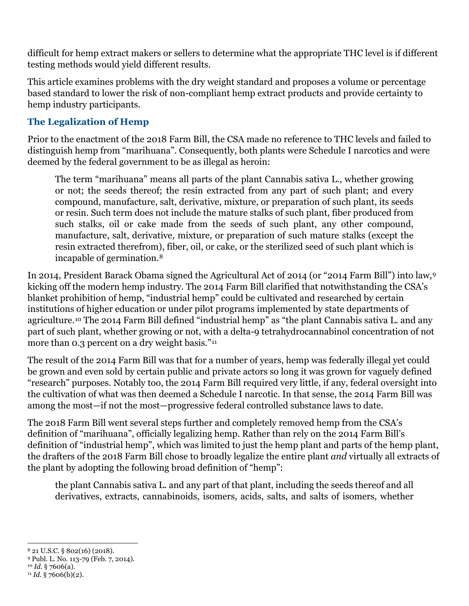difficult for hemp extract makers or sellers to determine what the appropriate THC level is if different testing methods would yield different results.

This article examines problems with the dry weight standard and proposes a volume or percentage based standard to lower the risk of non-compliant hemp extract products and provide certainty to hemp industry participants.

#### **The Legalization of Hemp**

Prior to the enactment of the 2018 Farm Bill, the CSA made no reference to THC levels and failed to distinguish hemp from "marihuana". Consequently, both plants were Schedule I narcotics and were deemed by the federal government to be as illegal as heroin:

The term "marihuana" means all parts of the plant Cannabis sativa L., whether growing or not; the seeds thereof; the resin extracted from any part of such plant; and every compound, manufacture, salt, derivative, mixture, or preparation of such plant, its seeds or resin. Such term does not include the mature stalks of such plant, fiber produced from such stalks, oil or cake made from the seeds of such plant, any other compound, manufacture, salt, derivative, mixture, or preparation of such mature stalks (except the resin extracted therefrom), fiber, oil, or cake, or the sterilized seed of such plant which is incapable of germination.[8](#page-1-0)

In 2014, President Barack Obama signed the Agricultural Act of 2014 (or "2014 Farm Bill") into law,[9](#page-1-1) kicking off the modern hemp industry. The 2014 Farm Bill clarified that notwithstanding the CSA's blanket prohibition of hemp, "industrial hemp" could be cultivated and researched by certain institutions of higher education or under pilot programs implemented by state departments of agriculture.[10](#page-1-2) The 2014 Farm Bill defined "industrial hemp" as "the plant Cannabis sativa L. and any part of such plant, whether growing or not, with a delta-9 tetrahydrocannabinol concentration of not more than 0.3 percent on a dry weight basis."<sup>[11](#page-1-3)</sup>

The result of the 2014 Farm Bill was that for a number of years, hemp was federally illegal yet could be grown and even sold by certain public and private actors so long it was grown for vaguely defined "research" purposes. Notably too, the 2014 Farm Bill required very little, if any, federal oversight into the cultivation of what was then deemed a Schedule I narcotic. In that sense, the 2014 Farm Bill was among the most—if not the most—progressive federal controlled substance laws to date.

The 2018 Farm Bill went several steps further and completely removed hemp from the CSA's definition of "marihuana", officially legalizing hemp. Rather than rely on the 2014 Farm Bill's definition of "industrial hemp", which was limited to just the hemp plant and parts of the hemp plant, the drafters of the 2018 Farm Bill chose to broadly legalize the entire plant *and* virtually all extracts of the plant by adopting the following broad definition of "hemp":

the plant Cannabis sativa L. and any part of that plant, including the seeds thereof and all derivatives, extracts, cannabinoids, isomers, acids, salts, and salts of isomers, whether

<span id="page-1-0"></span><sup>8</sup> 21 U.S.C. § 802(16) (2018).

<span id="page-1-1"></span><sup>9</sup> Publ. L. No. 113-79 (Feb. 7, 2014).

<span id="page-1-3"></span><span id="page-1-2"></span><sup>10</sup> *Id.* § 7606(a).  $11$  *Id.* § 7606(b)(2).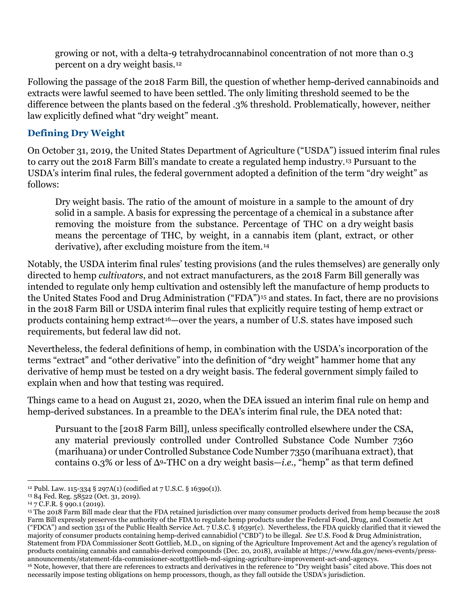growing or not, with a delta-9 tetrahydrocannabinol concentration of not more than 0.3 percent on a dry weight basis.[12](#page-2-0)

Following the passage of the 2018 Farm Bill, the question of whether hemp-derived cannabinoids and extracts were lawful seemed to have been settled. The only limiting threshold seemed to be the difference between the plants based on the federal .3% threshold. Problematically, however, neither law explicitly defined what "dry weight" meant.

#### **Defining Dry Weight**

On October 31, 2019, the United States Department of Agriculture ("USDA") issued interim final rules to carry out the 2018 Farm Bill's mandate to create a regulated hemp industry.[13](#page-2-1) Pursuant to the USDA's interim final rules, the federal government adopted a definition of the term "dry weight" as follows:

Dry weight basis. The ratio of the amount of moisture in a sample to the amount of dry solid in a sample. A basis for expressing the percentage of a chemical in a substance after removing the moisture from the substance. Percentage of THC on a dry weight basis means the percentage of THC, by weight, in a cannabis item (plant, extract, or other derivative), after excluding moisture from the item.[14](#page-2-2)

Notably, the USDA interim final rules' testing provisions (and the rules themselves) are generally only directed to hemp *cultivators*, and not extract manufacturers, as the 2018 Farm Bill generally was intended to regulate only hemp cultivation and ostensibly left the manufacture of hemp products to the United States Food and Drug Administration ("FDA")[15](#page-2-3) and states. In fact, there are no provisions in the 2018 Farm Bill or USDA interim final rules that explicitly require testing of hemp extract or products containing hemp extract[16](#page-2-4)—over the years, a number of U.S. states have imposed such requirements, but federal law did not.

Nevertheless, the federal definitions of hemp, in combination with the USDA's incorporation of the terms "extract" and "other derivative" into the definition of "dry weight" hammer home that any derivative of hemp must be tested on a dry weight basis. The federal government simply failed to explain when and how that testing was required.

Things came to a head on August 21, 2020, when the DEA issued an interim final rule on hemp and hemp-derived substances. In a preamble to the DEA's interim final rule, the DEA noted that:

Pursuant to the [2018 Farm Bill], unless specifically controlled elsewhere under the CSA, any material previously controlled under Controlled Substance Code Number 7360 (marihuana) or under Controlled Substance Code Number 7350 (marihuana extract), that contains 0.3% or less of Δ9-THC on a dry weight basis—*i.e.,* "hemp" as that term defined

<span id="page-2-0"></span><sup>&</sup>lt;sup>12</sup> Publ. Law. 115-334 § 297A(1) (codified at 7 U.S.C. § 16390(1)).

<span id="page-2-1"></span><sup>13</sup> 84 Fed. Reg. 58522 (Oct. 31, 2019).

<span id="page-2-2"></span><sup>14</sup> 7 C.F.R. § 990.1 (2019).

<span id="page-2-4"></span><span id="page-2-3"></span><sup>15</sup> The 2018 Farm Bill made clear that the FDA retained jurisdiction over many consumer products derived from hemp because the 2018 Farm Bill expressly preserves the authority of the FDA to regulate hemp products under the Federal Food, Drug, and Cosmetic Act ("FDCA") and section 351 of the Public Health Service Act. 7 U.S.C. § 1639r(c). Nevertheless, the FDA quickly clarified that it viewed the majority of consumer products containing hemp-derived cannabidiol ("CBD") to be illegal. *See* U.S. Food & Drug Administration, Statement from FDA Commissioner Scott Gottlieb, M.D., on signing of the Agriculture Improvement Act and the agency's regulation of products containing cannabis and cannabis-derived compounds (Dec. 20, 2018), available at https://www.fda.gov/news-events/pressannouncements/statement-fda-commissioner-scottgottlieb-md-signing-agriculture-improvement-act-and-agencys. <sup>16</sup> Note, however, that there are references to extracts and derivatives in the reference to "Dry weight basis" cited above. This does not necessarily impose testing obligations on hemp processors, though, as they fall outside the USDA's jurisdiction.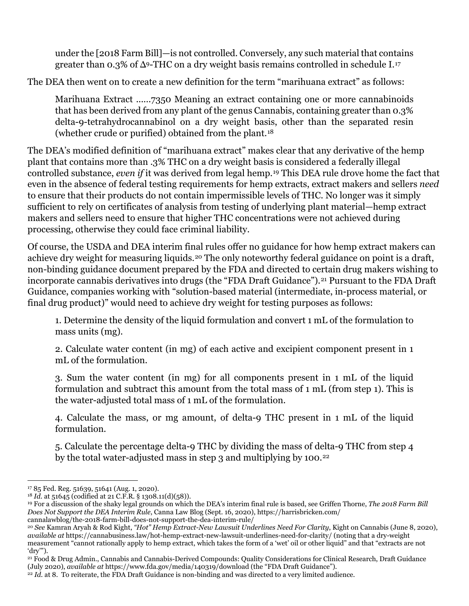under the [2018 Farm Bill]—is not controlled. Conversely, any such material that contains greater than 0.3% of  $\Delta$ 9-THC on a dry weight basis remains controlled in schedule I.<sup>[17](#page-3-0)</sup>

The DEA then went on to create a new definition for the term "marihuana extract" as follows:

Marihuana Extract ......7350 Meaning an extract containing one or more cannabinoids that has been derived from any plant of the genus Cannabis, containing greater than 0.3% delta-9-tetrahydrocannabinol on a dry weight basis, other than the separated resin (whether crude or purified) obtained from the plant.[18](#page-3-1)

The DEA's modified definition of "marihuana extract" makes clear that any derivative of the hemp plant that contains more than .3% THC on a dry weight basis is considered a federally illegal controlled substance, *even if* it was derived from legal hemp.[19](#page-3-2) This DEA rule drove home the fact that even in the absence of federal testing requirements for hemp extracts, extract makers and sellers *need* to ensure that their products do not contain impermissible levels of THC. No longer was it simply sufficient to rely on certificates of analysis from testing of underlying plant material—hemp extract makers and sellers need to ensure that higher THC concentrations were not achieved during processing, otherwise they could face criminal liability.

Of course, the USDA and DEA interim final rules offer no guidance for how hemp extract makers can achieve dry weight for measuring liquids.[20](#page-3-3) The only noteworthy federal guidance on point is a draft, non-binding guidance document prepared by the FDA and directed to certain drug makers wishing to incorporate cannabis derivatives into drugs (the "FDA Draft Guidance").<sup>[21](#page-3-4)</sup> Pursuant to the FDA Draft Guidance, companies working with "solution-based material (intermediate, in-process material, or final drug product)" would need to achieve dry weight for testing purposes as follows:

1. Determine the density of the liquid formulation and convert 1 mL of the formulation to mass units (mg).

2. Calculate water content (in mg) of each active and excipient component present in 1 mL of the formulation.

3. Sum the water content (in mg) for all components present in 1 mL of the liquid formulation and subtract this amount from the total mass of 1 mL (from step 1). This is the water-adjusted total mass of 1 mL of the formulation.

4. Calculate the mass, or mg amount, of delta-9 THC present in 1 mL of the liquid formulation.

5. Calculate the percentage delta-9 THC by dividing the mass of delta-9 THC from step 4 by the total water-adjusted mass in step 3 and multiplying by 100.<sup>[22](#page-3-5)</sup>

<span id="page-3-0"></span><sup>17</sup> 85 Fed. Reg. 51639, 51641 (Aug. 1, 2020).

<span id="page-3-1"></span><sup>18</sup> *Id.* at 51645 (codified at 21 C.F.R. § 1308.11(d)(58)).

<span id="page-3-2"></span><sup>19</sup> For a discussion of the shaky legal grounds on which the DEA's interim final rule is based, see Griffen Thorne, *The 2018 Farm Bill Does Not Support the DEA Interim Rule*, Canna Law Blog (Sept. 16, 2020), https://harrisbricken.com/ cannalawblog/the-2018-farm-bill-does-not-support-the-dea-interim-rule/

<span id="page-3-3"></span><sup>20</sup> *See* Kamran Aryah & Rod Kight, *"Hot" Hemp Extract-New Lawsuit Underlines Need For Clarity*, Kight on Cannabis (June 8, 2020), *available at* https://cannabusiness.law/hot-hemp-extract-new-lawsuit-underlines-need-for-clarity/ (noting that a dry-weight measurement "cannot rationally apply to hemp extract, which takes the form of a 'wet' oil or other liquid" and that "extracts are not 'dry'").

<span id="page-3-4"></span><sup>21</sup> Food & Drug Admin., Cannabis and Cannabis-Derived Compounds: Quality Considerations for Clinical Research, Draft Guidance (July 2020), *available at* https://www.fda.gov/media/140319/download (the "FDA Draft Guidance").

<span id="page-3-5"></span><sup>&</sup>lt;sup>22</sup> *Id.* at 8. To reiterate, the FDA Draft Guidance is non-binding and was directed to a very limited audience.